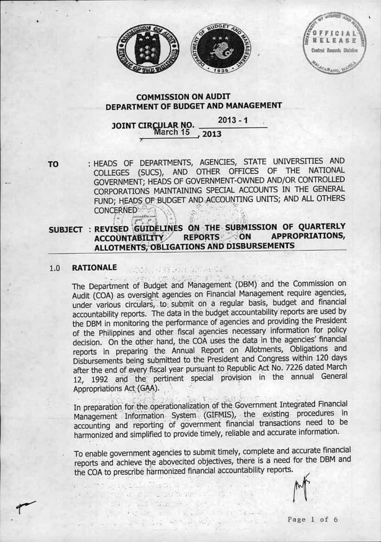



FARE trai Records Divisio

# **COMMISSION ON AUDIT** DEPARTMENT OF BUDGET AND MANAGEMENT

### JOINT CIRCULAR NO.  $2013 - 1$ 2013

TO

: HEADS OF DEPARTMENTS, AGENCIES, STATE UNIVERSITIES AND COLLEGES (SUCS), AND OTHER OFFICES OF THE NATIONAL GOVERNMENT; HEADS OF GOVERNMENT-OWNED AND/OR CONTROLLED CORPORATIONS MAINTAINING SPECIAL ACCOUNTS IN THE GENERAL FUND; HEADS OF BUDGET AND ACCOUNTING UNITS; AND ALL OTHERS **CONCERNED** 

#### SUBJECT : REVISED GUIDELINES ON THE SUBMISSION OF QUARTERLY ACCOUNTABILITY REPORTS ON **APPROPRIATIONS,** ALLOTMENTS, OBLIGATIONS AND DISBURSEMENTS

MAR. ERE FER TELES

- 도리

Service and which is See the said falger A . Before ...

 $x_1 - x_2$  and  $x_2 - x_3$  and  $x_3 - x_4$  and  $x_4$ 

32

#### **RATIONALE**  $1.0$

The Department of Budget and Management (DBM) and the Commission on Audit (COA) as oversight agencies on Financial Management require agencies, under various circulars, to submit on a regular basis, budget and financial accountability reports. The data in the budget accountability reports are used by the DBM in monitoring the performance of agencies and providing the President of the Philippines and other fiscal agencies necessary information for policy decision. On the other hand, the COA uses the data in the agencies' financial reports in preparing the Annual Report on Allotments, Obligations and Disbursements being submitted to the President and Congress within 120 days after the end of every fiscal year pursuant to Republic Act No. 7226 dated March 12, 1992 and the pertinent special provision in the annual General Appropriations Act (GAA).

In preparation for the operationalization of the Government Integrated Financial Management Information System (GIFMIS), the existing procedures in accounting and reporting of government financial transactions need to be harmonized and simplified to provide timely, reliable and accurate information.

To enable government agencies to submit timely, complete and accurate financial reports and achieve the abovecited objectives, there is a need for the DBM and the COA to prescribe harmonized financial accountability reports.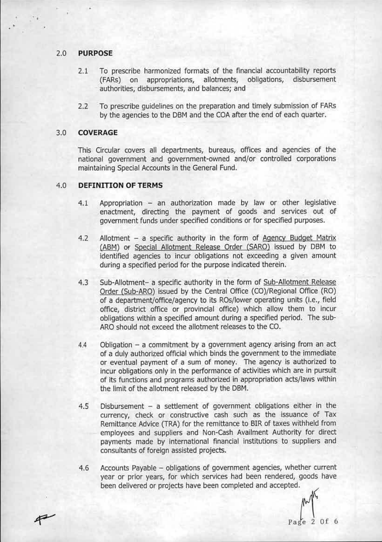# 2.0 PURPOSE

•

- 2.1 To prescribe harmonized formats of the financial accountability reports (FARs) on appropriations, allotments, obligations, disbursement authorities, disbursements, and balances; and
- 2.2 To prescribe quidelines on the preparation and timely submission of FARs by the agencies to the DBM and the COA after the end of each quarter.

# 3.0 COVERAGE

P

This Circular covers all departments, bureaus, offices and agencies of the national government and government-owned and/or controlled corporations maintaining Special Accounts in the General Fund.

# 4.0 DEFINITION OF TERMS

- 4.1 Appropriation an authorization made by law or other legislative enactment, directing the payment of goods and services out of government funds under specified conditions or for specified purposes.
- 4.2 Allotment a specific authority in the form of Agency Budget Matrix (ABM) or Special Allotment Release Order (SARO) issued by DBM to identified agencies to incur obligations not exceeding a given amount during a specified period for the purpose indicated therein.
- 4.3 Sub-Allotment- a specific authority in the form of Sub-Allotment Release Order (Sub-ARO) issued by the Central Office (CO)/Regional Office (RO) of a department/office/agency to its ROs/lower operating units (i.e., field office, district office or provincial office) which aliow them to incur obligations within a specified amount during a specified period. The sub-ARO should not exceed the allotment releases to the CO.
- $4.4$  Obligation a commitment by a government agency arising from an act of a duly authorized official which binds the government to the immediate or eventual payment of a sum of money. The agency is authorized to incur obligations only in the performance of activities which are in pursuit of its functions and programs authorized in appropriation acts/laws within the limit of the allotment released by the DBM.
- $4.5$  Disbursement a settlement of government obligations either in the currency, check or constructive cash such as the issuance of Tax Remittance Advice (TRA) for the remittance to SIR of taxes withheid from employees and suppliers and Non-Cash Availment Authority for direct payments made by international financial institutions to suppliers and consultants of foreign assisted projects.
- 4.6 Accounts Payable obligations of government agencies, whether current year or prior years, for which services had been rendered, goods have Accounts Payable – obligations of government agencies, whether current<br>year or prior years, for which services had been rendered, goods have<br>been delivered or projects have been completed and accepted.<br> $\mathbb{R}^{\mathcal{N}}$

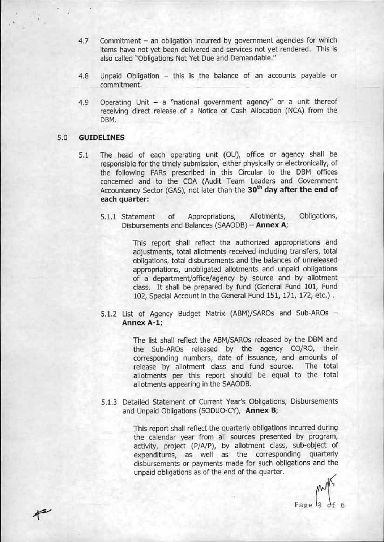- 4.7 Commitment an obligation incurred by government agencies for which items have not yet been delivered and services not yet rendered. This is also called "Obligations Not Yet Due and Demandable."
- $4.8$  Unpaid Obligation this is the balance of an accounts payable or commitment.
- 4.9 Operating Unit  $-$  a "national government agency" or a unit thereof receiving direct release of a Notice of Cash Allocation (NCA) from the DBM.

# 5.0 GUIDELINES

- 5.1 The head of each operating unit (OU), office or agency shall be responsible for the timely submission, either physically or electronically, of the following FARs prescribed in this Circular to the DBM offices concerned and to the COA (Audit Team Leaders and Government Accountancy Sector (GAS), not later than the 30<sup>th</sup> day after the end of each quarter:
	- 5.1.1 Statement of Appropriations, Allotments, Obligations, Disbursements and Balances (SAAODB) - Annex A;

This report shall reflect the authorized appropriations and adjustments, total allotments received including transfers, total obligations, total disbursements and the balances of unreleased appropriations, unobligated allotments and unpaid obligations of a department/office/agency by source and by allotment class. It shall be prepared by fund (General Fund 101, Fund 102, Special Account in the General Fund 151, 171, 172, etc.).

5.1.2 List of Agency Budget Matrix (ABM)/SAROs and Sub-AROs -Annex A-1;

> The list shall reflect the ABM/SAROs released by the DBM and the Sub-AROs released by the agency CO/RO, their corresponding numbers, date of issuance, and amounts of release by allotment class and fund source. The total allotments per this report should be equal to the total allotments appearing in the SMODB.

5.1.3 Detailed Statement of Current Year's Obligations, Disbursements and Unpaid Obligations (SODUO-CY), Annex B;

> This report shall refiect the quarterly obligations incurred during the calendar year from all sources preserlted by program, activity, project  $(P/A/P)$ , by allotment class, sub-object of expenditures, as well as the corresponding quarterly disbursements or payments made for such obligations and the unpaid obligations as of the end of the quarter.

Page 3 of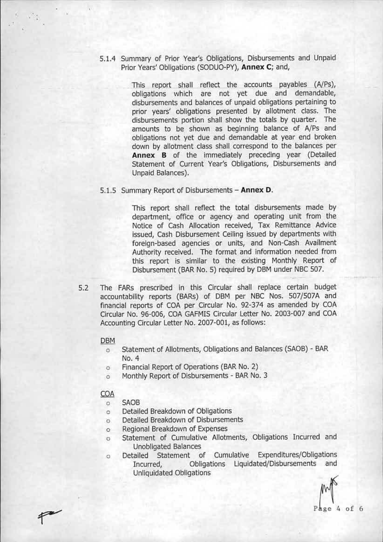5.1.4 Summary of Prior Year's Obligations, Oisbursements and Unpaid Prior Years' Obligations (SODUO-PY), Annex C; and,

> This report shall reflect the accounts payables  $(A/Ps)$ , obligations which are not yet due and demandable, disbursements and balances of unpaid obligations pertaining to prior years' obligations presented by allotment class. The disbursements portion shall show the totals by quarter. The amounts to be shown as beginning balance of NPs and obligations not yet due and demandable at year end broken down by allotment class shall correspond to the balances per Annex B of the immediately prececing year (Detailed Statement of Current Year's Obligations, Disbursements and Unpaid Balances).

5.1.5 Summary Report of Disbursements - Annex D.

This report shall reflect the total disbursements made by department, office or agency and operating unit from the Notice of Cash Allocation received, Tax Remittance Advice issued, Cash Disbursement Ceiling issued by departments with foreign-based agencies or units, and Non-Cash Availment Authority received. The format and information needed from this report is similar to the existing Monthly Report of Disbursement (BAR No. 5) required by DBM under NBC 507.

5.2 The FARs prescribed in this Circular shall replace certain budget accountability reports (BARs) of DBM per NBC Nos. 507/507A and financial reports of COA per Circular No. 92-374 as amended by COA Circular No. 96-006, COA GAFMIS Circular Letter No. 2003-007 and COA Accounting Circular Letter No. 2007-001, as follows:

## DBM

- o Statement of Allotments, Obligations and Balances(SAOB)- BAR No. 4
- a Financial Report of Operations (BAR No.2)
- o Monthly Report of Disbursements BARNO.3

# COA

- SA08  $\Omega$
- Detailed Breakdown of Obligations  $\circ$
- Detailed Breakdown of Disbursements  $\circ$
- Regional Breakdown of Expenses  $\circ$
- Statement of Cumulative Allotments, Obligations Incurred and  $\circ$ Unobligated Balances
- Detailed Statement of Cumulative Expenditures/Obligations  $\circ$ Incurred, Obligations Liquidated/Disbursements and Unliquidated Obligations

 $Page 4 of 6$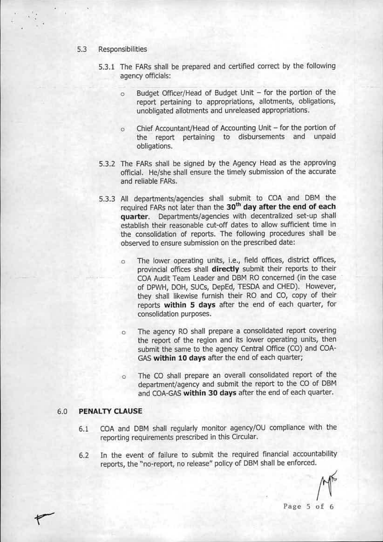### 5.3 Responsibilities

- 5.3.1 The FARs shall be prepared and certified correct by the following agency officials:
	- o Budget Officer/Head of Budget Unit for the portion of the report pertaining to appropriations, allotments, obiigations, unobligated allotments and unreleased appropriations.
	- o Chief Accountant/Head of Accounting Unit for the portion of the report pertaining to disbursements and unpaid obligations.
- 5.3.2 The FARs shail be signed by the Agency Head as the approving official. He/she shall ensure the timely submission of the accurate and reliable FARs.
- 5.3.3 All departments/agencies shall submit to COA and DBM the required FARs not later than the 30<sup>th</sup> day after the end of each quarter. Departments/agencies with decentralized set-up shall establish their reasonable cut-off dates to allow sufficient time in the consolidation of reports. The following procedures shall be observed to ensure submission on the prescribed date:
	- o The iower operating units, I.e., field offices, district offices, provincial offices shall directly submit their reports to their COAAudit Team leader and DBM RO concerned (in the case of DPWH, DOH, SUCs, DepEd, TESDA and CHED). However, they shall likewise furnish their RO and CO, copy of their reports within 5 days after the end of each quarter, for consolidation purposes.
	- o The agency RO shall prepare a consolidated report covering the report of the region and its lower operating units, then submit the same to the agency Central Office (CO) and COA-GAS within 10 days after the end of each quarter;
	- o The CO shall prepare an overall consolidated report of the department/agency and submit the report to the CO of OBM and COA-GAS within 30 days after the end of each quarter.

# 6.0 PENALTY CLAUSE

- 6.1 eOA and DBM shall regularly monitor agency/OU compliance with the reporting requirements prescribed in this Circular.
- 6.2 In the event of failure to submit the required financial accountability reports, the "no-report, no release" policy of DBM shall be enforced.

Page 5 of 6